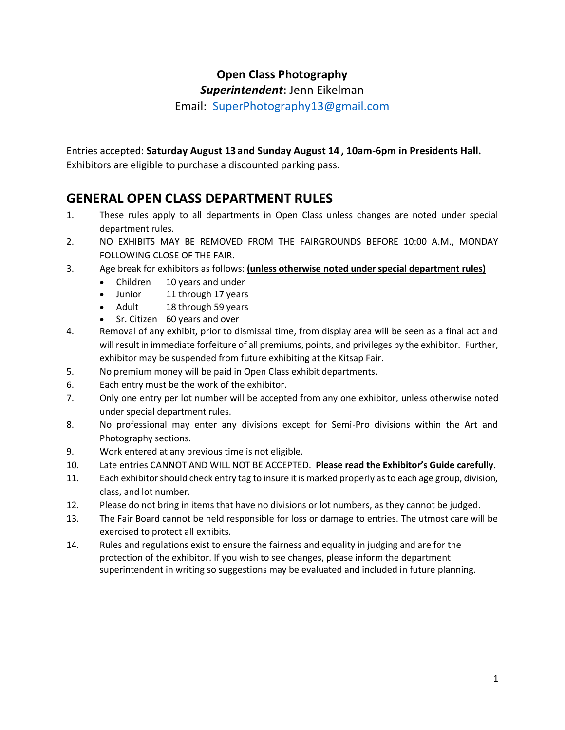### **Open Class Photography**

*Superintendent*: Jenn Eikelman

Email: [SuperPhotography13@gmail.com](mailto:SuperPhotography@gmail.com)

Entries accepted: **Saturday August 13 and Sunday August 14 , 10am-6pm in Presidents Hall.**

Exhibitors are eligible to purchase a discounted parking pass.

### **GENERAL OPEN CLASS DEPARTMENT RULES**

- 1. These rules apply to all departments in Open Class unless changes are noted under special department rules.
- 2. NO EXHIBITS MAY BE REMOVED FROM THE FAIRGROUNDS BEFORE 10:00 A.M., MONDAY FOLLOWING CLOSE OF THE FAIR.
- 3. Age break for exhibitors as follows: **(unless otherwise noted under special department rules)**
	- Children 10 years and under
	- Junior 11 through 17 years<br>• Adult 18 through 59 years
	- 18 through 59 years
	- Sr. Citizen 60 years and over
- 4. Removal of any exhibit, prior to dismissal time, from display area will be seen as a final act and will result in immediate forfeiture of all premiums, points, and privileges by the exhibitor. Further, exhibitor may be suspended from future exhibiting at the Kitsap Fair.
- 5. No premium money will be paid in Open Class exhibit departments.
- 6. Each entry must be the work of the exhibitor.
- 7. Only one entry per lot number will be accepted from any one exhibitor, unless otherwise noted under special department rules.
- 8. No professional may enter any divisions except for Semi-Pro divisions within the Art and Photography sections.
- 9. Work entered at any previous time is not eligible.
- 10. Late entries CANNOT AND WILL NOT BE ACCEPTED. **Please read the Exhibitor's Guide carefully.**
- 11. Each exhibitor should check entry tag to insure it is marked properly as to each age group, division, class, and lot number.
- 12. Please do not bring in items that have no divisions or lot numbers, as they cannot be judged.
- 13. The Fair Board cannot be held responsible for loss or damage to entries. The utmost care will be exercised to protect all exhibits.
- 14. Rules and regulations exist to ensure the fairness and equality in judging and are for the protection of the exhibitor. If you wish to see changes, please inform the department superintendent in writing so suggestions may be evaluated and included in future planning.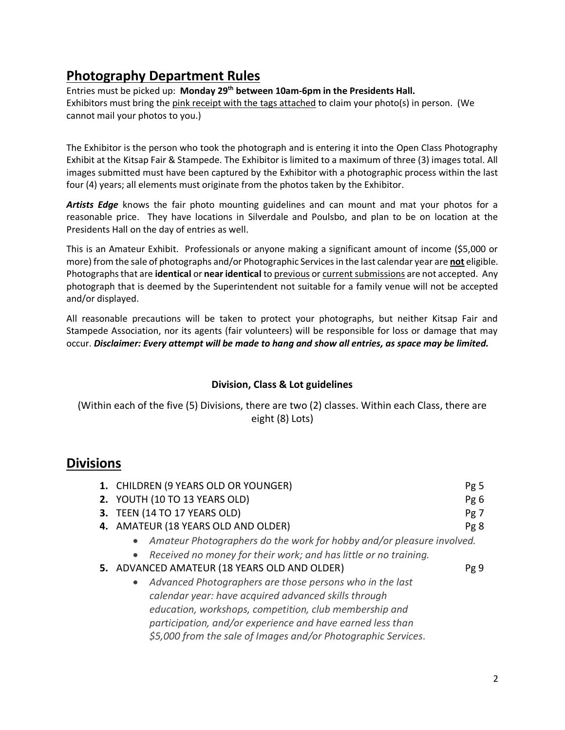### **Photography Department Rules**

Entries must be picked up: **Monday 29th between 10am-6pm in the Presidents Hall.**  Exhibitors must bring the pink receipt with the tags attached to claim your photo(s) in person. (We cannot mail your photos to you.)

The Exhibitor is the person who took the photograph and is entering it into the Open Class Photography Exhibit at the Kitsap Fair & Stampede. The Exhibitor is limited to a maximum of three (3) images total. All images submitted must have been captured by the Exhibitor with a photographic process within the last four (4) years; all elements must originate from the photos taken by the Exhibitor.

*Artists Edge* knows the fair photo mounting guidelines and can mount and mat your photos for a reasonable price. They have locations in Silverdale and Poulsbo, and plan to be on location at the Presidents Hall on the day of entries as well.

This is an Amateur Exhibit. Professionals or anyone making a significant amount of income (\$5,000 or more) from the sale of photographs and/or Photographic Services in the last calendar year are **not** eligible. Photographs that are **identical** or **near identical** to previous or current submissions are not accepted. Any photograph that is deemed by the Superintendent not suitable for a family venue will not be accepted and/or displayed.

All reasonable precautions will be taken to protect your photographs, but neither Kitsap Fair and Stampede Association, nor its agents (fair volunteers) will be responsible for loss or damage that may occur. *Disclaimer: Every attempt will be made to hang and show all entries, as space may be limited.*

#### **Division, Class & Lot guidelines**

(Within each of the five (5) Divisions, there are two (2) classes. Within each Class, there are eight (8) Lots)

### **Divisions**

| 1. CHILDREN (9 YEARS OLD OR YOUNGER)                                               | Pg 5 |
|------------------------------------------------------------------------------------|------|
| 2. YOUTH (10 TO 13 YEARS OLD)                                                      | Pg6  |
| 3. TEEN (14 TO 17 YEARS OLD)                                                       | Pg 7 |
| 4. AMATEUR (18 YEARS OLD AND OLDER)                                                | Pg 8 |
| Amateur Photographers do the work for hobby and/or pleasure involved.<br>$\bullet$ |      |
| • Received no money for their work; and has little or no training.                 |      |
| 5. ADVANCED AMATEUR (18 YEARS OLD AND OLDER)                                       | Pg 9 |
| • Advanced Photographers are those persons who in the last                         |      |
| calendar year: have acquired advanced skills through                               |      |
| education, workshops, competition, club membership and                             |      |
| participation, and/or experience and have earned less than                         |      |
| \$5,000 from the sale of Images and/or Photographic Services.                      |      |
|                                                                                    |      |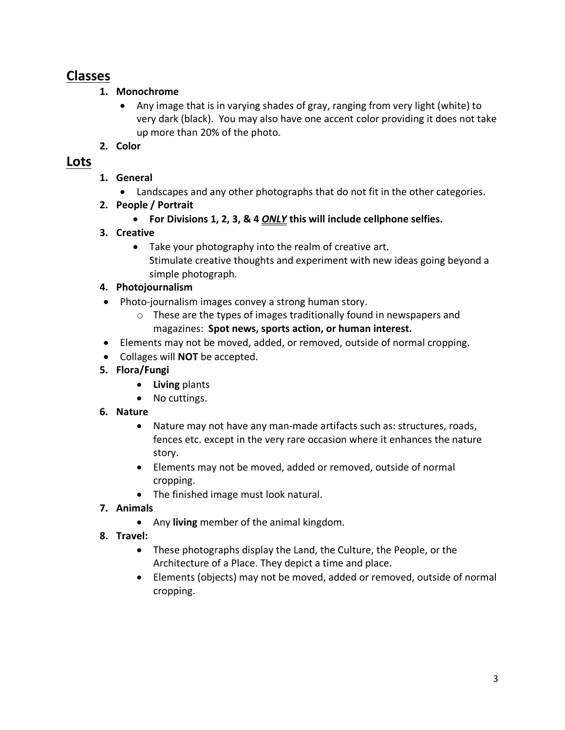### **Classes**

- **1. Monochrome**
	- Any image that is in varying shades of gray, ranging from very light (white) to very dark (black). You may also have one accent color providing it does not take up more than 20% of the photo.
- **2. Color**

### **Lots**

- **1. General** 
	- Landscapes and any other photographs that do not fit in the other categories.
- **2. People / Portrait**
	- **For Divisions 1, 2, 3, & 4** *ONLY* **this will include cellphone selfies.**
- **3. Creative**
	- Take your photography into the realm of creative art. Stimulate creative thoughts and experiment with new ideas going beyond a simple photograph.
- **4. Photojournalism**
- Photo-journalism images convey a strong human story.
	- o These are the types of images traditionally found in newspapers and magazines: **Spot news, sports action, or human interest.**
- Elements may not be moved, added, or removed, outside of normal cropping.
- Collages will **NOT** be accepted.
- **5. Flora/Fungi**
	- **Living** plants
	- No cuttings.
- **6. Nature**
	- Nature may not have any man-made artifacts such as: structures, roads, fences etc. except in the very rare occasion where it enhances the nature story.
	- Elements may not be moved, added or removed, outside of normal cropping.
	- The finished image must look natural.
- **7. Animals**
	- Any **living** member of the animal kingdom.
- **8. Travel:**
	- These photographs display the Land, the Culture, the People, or the Architecture of a Place. They depict a time and place.
	- Elements (objects) may not be moved, added or removed, outside of normal cropping.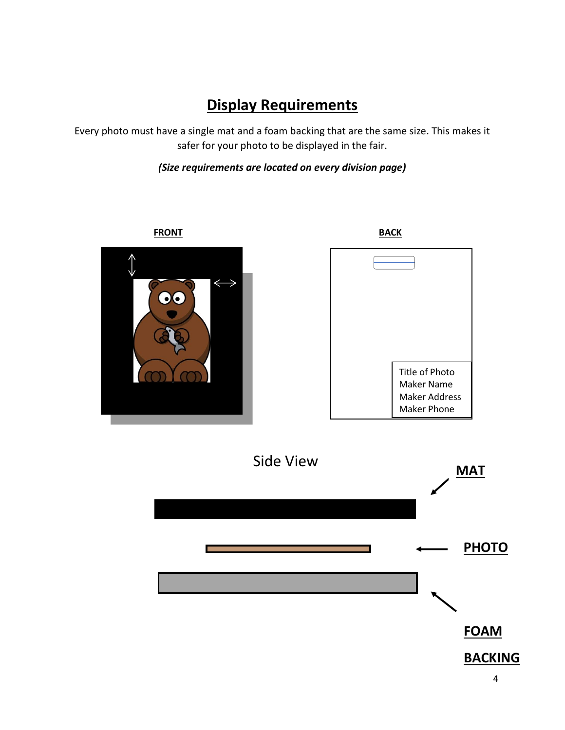# **Display Requirements**

Every photo must have a single mat and a foam backing that are the same size. This makes it safer for your photo to be displayed in the fair.

#### *(Size requirements are located on every division page)*





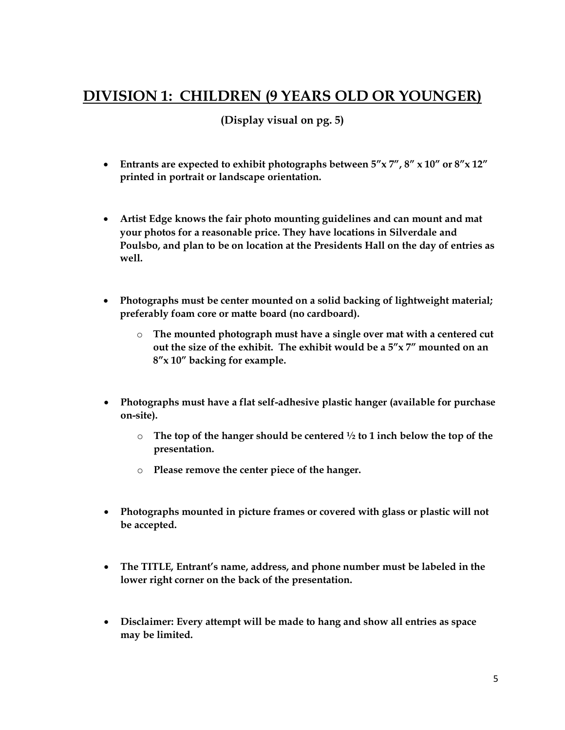## **DIVISION 1: CHILDREN (9 YEARS OLD OR YOUNGER)**

- **Entrants are expected to exhibit photographs between 5"x 7", 8" x 10" or 8"x 12" printed in portrait or landscape orientation.**
- **Artist Edge knows the fair photo mounting guidelines and can mount and mat your photos for a reasonable price. They have locations in Silverdale and Poulsbo, and plan to be on location at the Presidents Hall on the day of entries as well.**
- **Photographs must be center mounted on a solid backing of lightweight material; preferably foam core or matte board (no cardboard).**
	- o **The mounted photograph must have a single over mat with a centered cut out the size of the exhibit. The exhibit would be a 5"x 7" mounted on an 8"x 10" backing for example.**
- **Photographs must have a flat self-adhesive plastic hanger (available for purchase on-site).**
	- o **The top of the hanger should be centered ½ to 1 inch below the top of the presentation.**
	- o **Please remove the center piece of the hanger.**
- **Photographs mounted in picture frames or covered with glass or plastic will not be accepted.**
- **The TITLE, Entrant's name, address, and phone number must be labeled in the lower right corner on the back of the presentation.**
- **Disclaimer: Every attempt will be made to hang and show all entries as space may be limited.**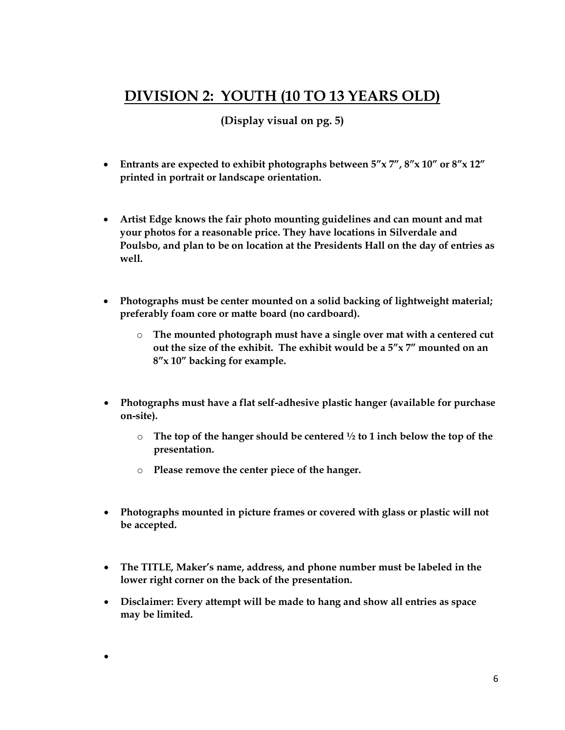## **DIVISION 2: YOUTH (10 TO 13 YEARS OLD)**

**(Display visual on pg. 5)**

- **Entrants are expected to exhibit photographs between 5"x 7", 8"x 10" or 8"x 12" printed in portrait or landscape orientation.**
- **Artist Edge knows the fair photo mounting guidelines and can mount and mat your photos for a reasonable price. They have locations in Silverdale and Poulsbo, and plan to be on location at the Presidents Hall on the day of entries as well.**
- **Photographs must be center mounted on a solid backing of lightweight material; preferably foam core or matte board (no cardboard).**
	- o **The mounted photograph must have a single over mat with a centered cut out the size of the exhibit. The exhibit would be a 5"x 7" mounted on an 8"x 10" backing for example.**
- **Photographs must have a flat self-adhesive plastic hanger (available for purchase on-site).**
	- o **The top of the hanger should be centered ½ to 1 inch below the top of the presentation.**
	- o **Please remove the center piece of the hanger.**

•

- **Photographs mounted in picture frames or covered with glass or plastic will not be accepted.**
- **The TITLE, Maker's name, address, and phone number must be labeled in the lower right corner on the back of the presentation.**
- **Disclaimer: Every attempt will be made to hang and show all entries as space may be limited.**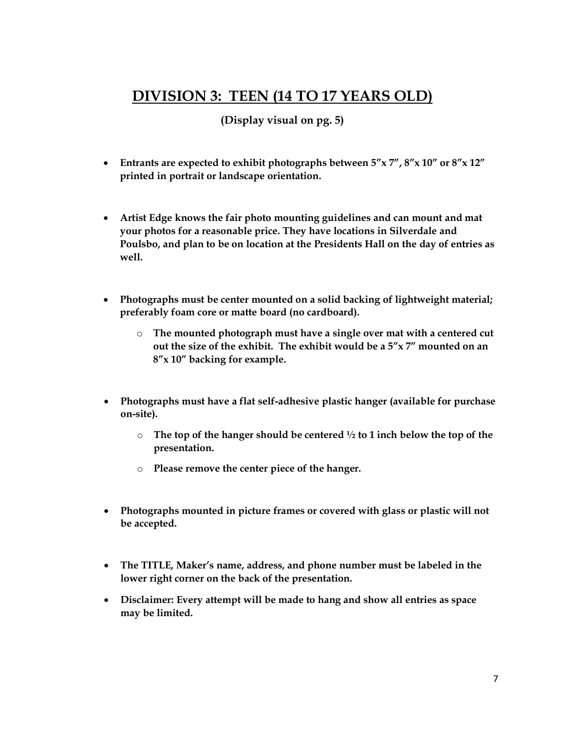## **DIVISION 3: TEEN (14 TO 17 YEARS OLD)**

- **Entrants are expected to exhibit photographs between 5"x 7", 8"x 10" or 8"x 12" printed in portrait or landscape orientation.**
- **Artist Edge knows the fair photo mounting guidelines and can mount and mat your photos for a reasonable price. They have locations in Silverdale and Poulsbo, and plan to be on location at the Presidents Hall on the day of entries as well.**
- **Photographs must be center mounted on a solid backing of lightweight material; preferably foam core or matte board (no cardboard).**
	- o **The mounted photograph must have a single over mat with a centered cut out the size of the exhibit. The exhibit would be a 5"x 7" mounted on an 8"x 10" backing for example.**
- **Photographs must have a flat self-adhesive plastic hanger (available for purchase on-site).**
	- o **The top of the hanger should be centered ½ to 1 inch below the top of the presentation.**
	- o **Please remove the center piece of the hanger.**
- **Photographs mounted in picture frames or covered with glass or plastic will not be accepted.**
- **The TITLE, Maker's name, address, and phone number must be labeled in the lower right corner on the back of the presentation.**
- **Disclaimer: Every attempt will be made to hang and show all entries as space may be limited.**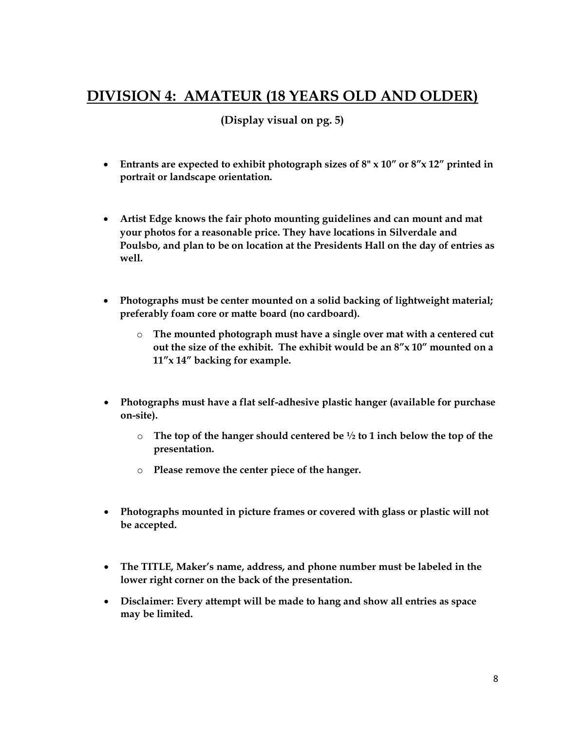## **DIVISION 4: AMATEUR (18 YEARS OLD AND OLDER)**

- **Entrants are expected to exhibit photograph sizes of 8" x 10" or 8"x 12" printed in portrait or landscape orientation.**
- **Artist Edge knows the fair photo mounting guidelines and can mount and mat your photos for a reasonable price. They have locations in Silverdale and Poulsbo, and plan to be on location at the Presidents Hall on the day of entries as well.**
- **Photographs must be center mounted on a solid backing of lightweight material; preferably foam core or matte board (no cardboard).** 
	- o **The mounted photograph must have a single over mat with a centered cut out the size of the exhibit. The exhibit would be an 8"x 10" mounted on a 11"x 14" backing for example.**
- **Photographs must have a flat self-adhesive plastic hanger (available for purchase on-site).**
	- o **The top of the hanger should centered be ½ to 1 inch below the top of the presentation.**
	- o **Please remove the center piece of the hanger.**
- **Photographs mounted in picture frames or covered with glass or plastic will not be accepted.**
- **The TITLE, Maker's name, address, and phone number must be labeled in the lower right corner on the back of the presentation.**
- **Disclaimer: Every attempt will be made to hang and show all entries as space may be limited.**